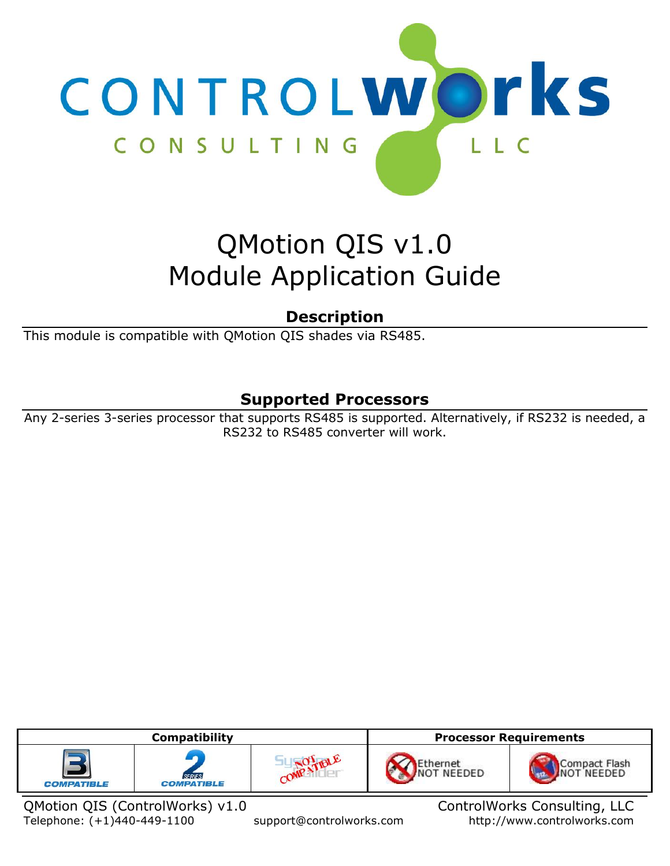

# QMotion QIS v1.0 Module Application Guide

# **Description**

This module is compatible with QMotion QIS shades via RS485.

# **Supported Processors**

Any 2-series 3-series processor that supports RS485 is supported. Alternatively, if RS232 is needed, a RS232 to RS485 converter will work.

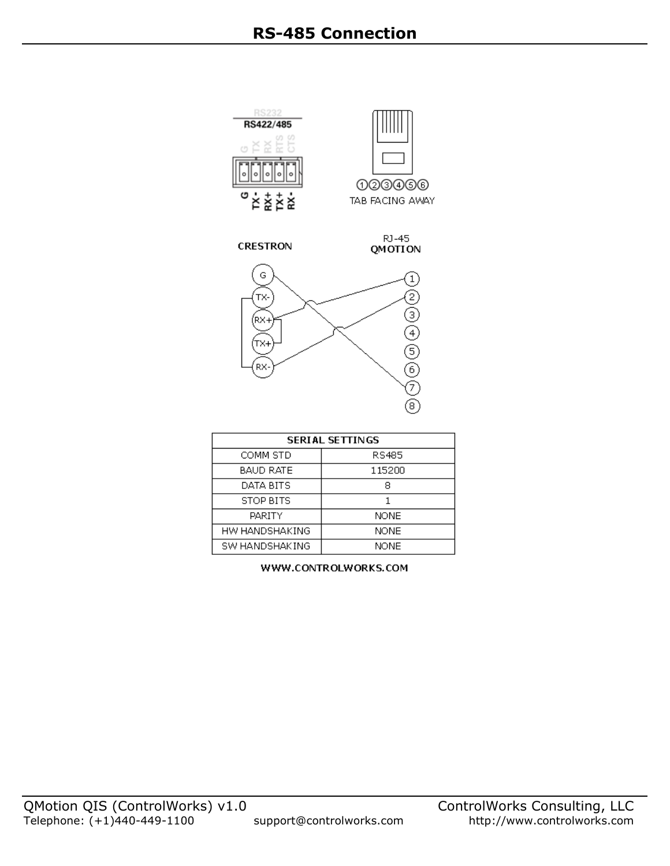

| <b>SERIAL SETTINGS</b> |             |
|------------------------|-------------|
| COMM STD               | RS485       |
| BAUD RATE              | 115200      |
| DATA BITS              | 8           |
| STOP BITS              |             |
| PARITY                 | <b>NONE</b> |
| HW HANDSHAKING         | <b>NONE</b> |
| SW HANDSHAKING         | <b>NONE</b> |

WWW.CONTROLWORKS.COM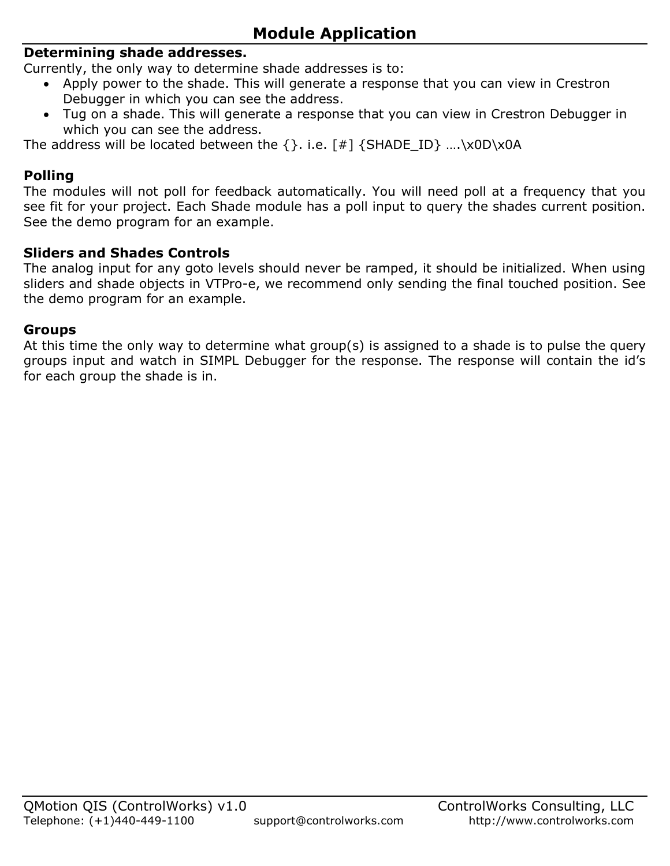### **Determining shade addresses.**

Currently, the only way to determine shade addresses is to:

- Apply power to the shade. This will generate a response that you can view in Crestron Debugger in which you can see the address.
- Tug on a shade. This will generate a response that you can view in Crestron Debugger in which you can see the address.

The address will be located between the  $\{\}$ . i.e. [#]  $\{SHADEID\}$  .... $\XOD\XOA$ 

### **Polling**

The modules will not poll for feedback automatically. You will need poll at a frequency that you see fit for your project. Each Shade module has a poll input to query the shades current position. See the demo program for an example.

### **Sliders and Shades Controls**

The analog input for any goto levels should never be ramped, it should be initialized. When using sliders and shade objects in VTPro-e, we recommend only sending the final touched position. See the demo program for an example.

#### **Groups**

At this time the only way to determine what group(s) is assigned to a shade is to pulse the query groups input and watch in SIMPL Debugger for the response. The response will contain the id's for each group the shade is in.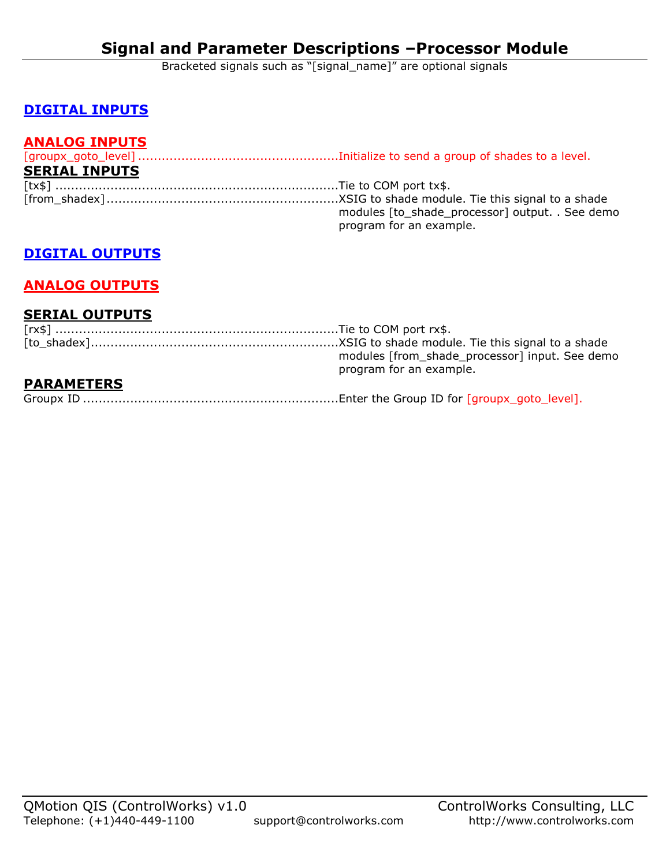Bracketed signals such as "[signal\_name]" are optional signals

# **DIGITAL INPUTS**

### **ANALOG INPUTS**

| <b>SERIAL INPUTS</b> |                                                 |
|----------------------|-------------------------------------------------|
|                      |                                                 |
|                      |                                                 |
|                      | modules [to_shade_processor] output. . See demo |
|                      | program for an example.                         |

### **DIGITAL OUTPUTS**

# **ANALOG OUTPUTS**

#### **SERIAL OUTPUTS**

|                   | modules [from_shade_processor] input. See demo<br>program for an example. |
|-------------------|---------------------------------------------------------------------------|
| <b>PARAMETERS</b> |                                                                           |
|                   |                                                                           |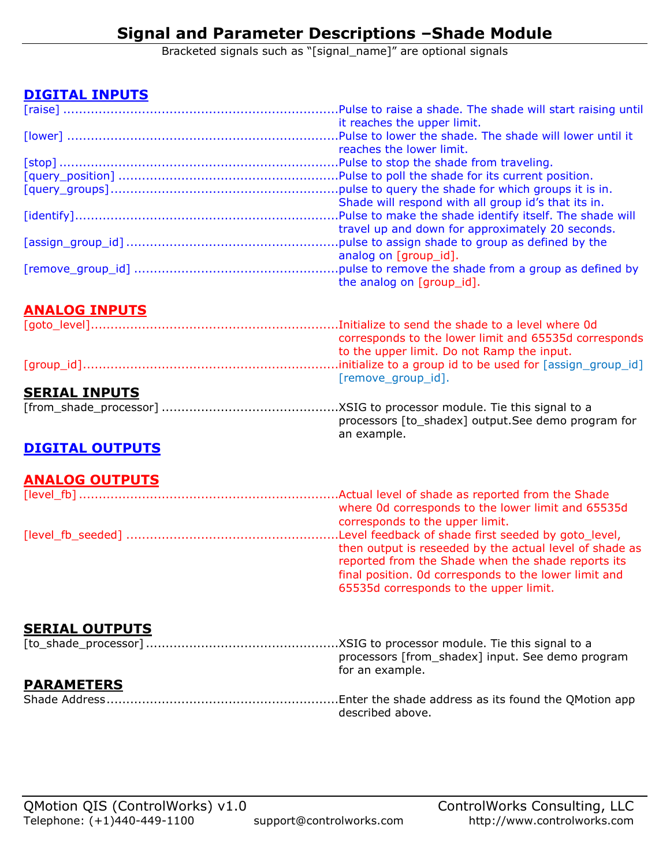Bracketed signals such as "[signal\_name]" are optional signals

# **DIGITAL INPUTS**

| it reaches the upper limit.                         |
|-----------------------------------------------------|
|                                                     |
| reaches the lower limit.                            |
|                                                     |
|                                                     |
|                                                     |
| Shade will respond with all group id's that its in. |
|                                                     |
| travel up and down for approximately 20 seconds.    |
|                                                     |
| analog on [group id].                               |
|                                                     |
| the analog on [group_id].                           |

# **ANALOG INPUTS**

|                      | corresponds to the lower limit and 65535d corresponds |
|----------------------|-------------------------------------------------------|
|                      | to the upper limit. Do not Ramp the input.            |
|                      |                                                       |
|                      | [remove group id].                                    |
| <b>SERIAL INPUTS</b> |                                                       |
|                      |                                                       |
|                      | processors [to shadex] output. See demo program for   |
|                      | an example.                                           |

# **DIGITAL OUTPUTS**

# **ANALOG OUTPUTS**

| where 0d corresponds to the lower limit and 65535d      |
|---------------------------------------------------------|
| corresponds to the upper limit.                         |
|                                                         |
| then output is reseeded by the actual level of shade as |
| reported from the Shade when the shade reports its      |
| final position. Od corresponds to the lower limit and   |

65535d corresponds to the upper limit.

# **SERIAL OUTPUTS**

|                   | processors [from_shadex] input. See demo program |
|-------------------|--------------------------------------------------|
|                   | for an example.                                  |
| <b>PARAMETERS</b> |                                                  |
|                   | described above.                                 |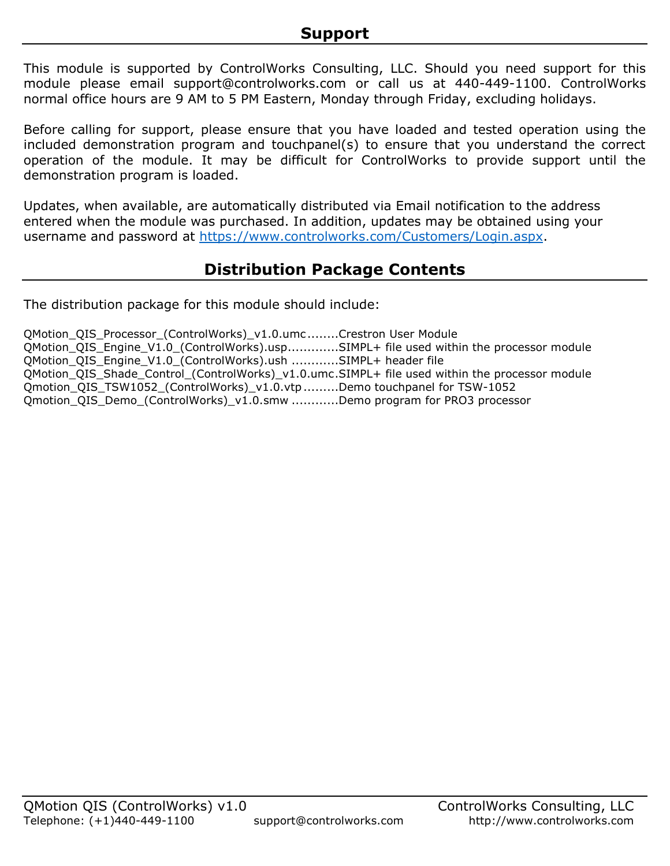This module is supported by ControlWorks Consulting, LLC. Should you need support for this module please email support@controlworks.com or call us at 440-449-1100. ControlWorks normal office hours are 9 AM to 5 PM Eastern, Monday through Friday, excluding holidays.

Before calling for support, please ensure that you have loaded and tested operation using the included demonstration program and touchpanel(s) to ensure that you understand the correct operation of the module. It may be difficult for ControlWorks to provide support until the demonstration program is loaded.

Updates, when available, are automatically distributed via Email notification to the address entered when the module was purchased. In addition, updates may be obtained using your username and password at [https://www.controlworks.com/Customers/Login.aspx.](https://www.controlworks.com/Customers/Login.aspx)

# **Distribution Package Contents**

The distribution package for this module should include:

QMotion\_QIS\_Processor (ControlWorks)\_v1.0.umc........Crestron User Module QMotion\_QIS\_Engine\_V1.0\_(ControlWorks).usp.............SIMPL+ file used within the processor module QMotion\_QIS\_Engine\_V1.0\_(ControlWorks).ush ............SIMPL+ header file QMotion\_QIS\_Shade\_Control\_(ControlWorks)\_v1.0.umc.SIMPL+ file used within the processor module Qmotion\_QIS\_TSW1052\_(ControlWorks)\_v1.0.vtp.........Demo touchpanel for TSW-1052 Qmotion\_QIS\_Demo\_(ControlWorks)\_v1.0.smw ............Demo program for PRO3 processor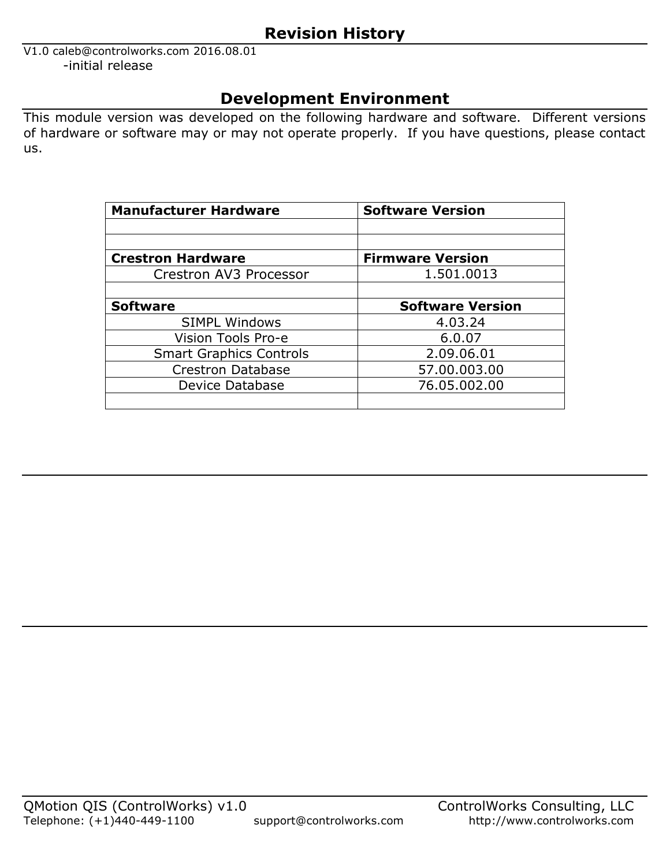# **Revision History**

V1.0 caleb@controlworks.com 2016.08.01 -initial release

# **Development Environment**

This module version was developed on the following hardware and software. Different versions of hardware or software may or may not operate properly. If you have questions, please contact us.

| <b>Manufacturer Hardware</b>   | <b>Software Version</b> |
|--------------------------------|-------------------------|
|                                |                         |
|                                |                         |
| <b>Crestron Hardware</b>       | <b>Firmware Version</b> |
| Crestron AV3 Processor         | 1.501.0013              |
|                                |                         |
| <b>Software</b>                | <b>Software Version</b> |
| <b>SIMPL Windows</b>           | 4.03.24                 |
| Vision Tools Pro-e             | 6.0.07                  |
| <b>Smart Graphics Controls</b> | 2.09.06.01              |
| <b>Crestron Database</b>       | 57.00.003.00            |
| Device Database                | 76.05.002.00            |
|                                |                         |